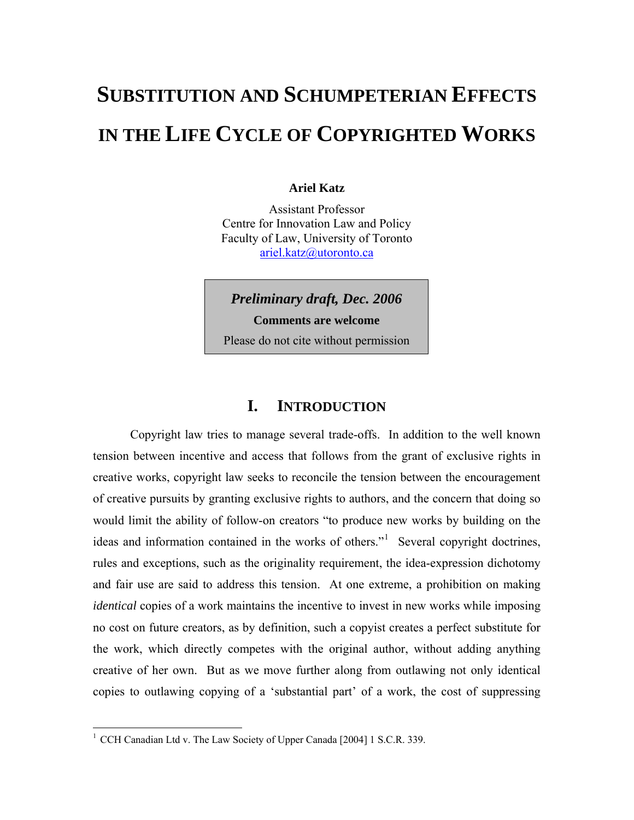# **SUBSTITUTION AND SCHUMPETERIAN EFFECTS IN THE LIFE CYCLE OF COPYRIGHTED WORKS**

#### **Ariel Katz**

Assistant Professor Centre for Innovation Law and Policy Faculty of Law, University of Toronto [ariel.katz@utoronto.ca](mailto:ariel.katz@utoronto.ca) 

*Preliminary draft, Dec. 2006* 

**Comments are welcome** 

Please do not cite without permission

# **I. INTRODUCTION**

Copyright law tries to manage several trade-offs. In addition to the well known tension between incentive and access that follows from the grant of exclusive rights in creative works, copyright law seeks to reconcile the tension between the encouragement of creative pursuits by granting exclusive rights to authors, and the concern that doing so would limit the ability of follow-on creators "to produce new works by building on the ideas and information contained in the works of others."<sup>[1](#page-0-0)</sup> Several copyright doctrines, rules and exceptions, such as the originality requirement, the idea-expression dichotomy and fair use are said to address this tension. At one extreme, a prohibition on making *identical* copies of a work maintains the incentive to invest in new works while imposing no cost on future creators, as by definition, such a copyist creates a perfect substitute for the work, which directly competes with the original author, without adding anything creative of her own. But as we move further along from outlawing not only identical copies to outlawing copying of a 'substantial part' of a work, the cost of suppressing

<span id="page-0-0"></span><sup>&</sup>lt;sup>1</sup> CCH Canadian Ltd v. The Law Society of Upper Canada [2004] 1 S.C.R. 339.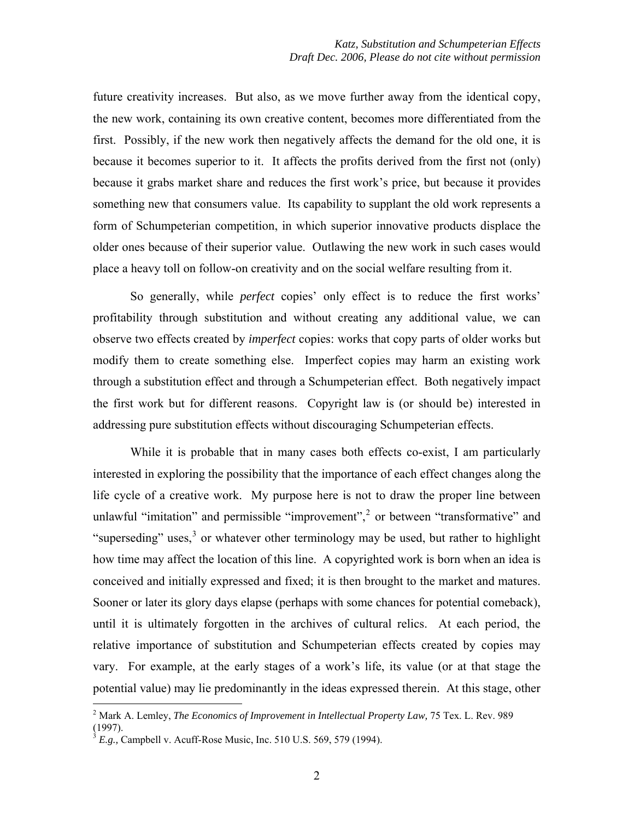future creativity increases. But also, as we move further away from the identical copy, the new work, containing its own creative content, becomes more differentiated from the first. Possibly, if the new work then negatively affects the demand for the old one, it is because it becomes superior to it. It affects the profits derived from the first not (only) because it grabs market share and reduces the first work's price, but because it provides something new that consumers value. Its capability to supplant the old work represents a form of Schumpeterian competition, in which superior innovative products displace the older ones because of their superior value. Outlawing the new work in such cases would place a heavy toll on follow-on creativity and on the social welfare resulting from it.

So generally, while *perfect* copies' only effect is to reduce the first works' profitability through substitution and without creating any additional value, we can observe two effects created by *imperfect* copies: works that copy parts of older works but modify them to create something else. Imperfect copies may harm an existing work through a substitution effect and through a Schumpeterian effect. Both negatively impact the first work but for different reasons. Copyright law is (or should be) interested in addressing pure substitution effects without discouraging Schumpeterian effects.

While it is probable that in many cases both effects co-exist, I am particularly interested in exploring the possibility that the importance of each effect changes along the life cycle of a creative work. My purpose here is not to draw the proper line between unlawful "imitation" and permissible "improvement",<sup>[2](#page-1-0)</sup> or between "transformative" and "superseding" uses, $3$  or whatever other terminology may be used, but rather to highlight how time may affect the location of this line. A copyrighted work is born when an idea is conceived and initially expressed and fixed; it is then brought to the market and matures. Sooner or later its glory days elapse (perhaps with some chances for potential comeback), until it is ultimately forgotten in the archives of cultural relics. At each period, the relative importance of substitution and Schumpeterian effects created by copies may vary. For example, at the early stages of a work's life, its value (or at that stage the potential value) may lie predominantly in the ideas expressed therein. At this stage, other

<span id="page-1-0"></span><sup>&</sup>lt;sup>2</sup> Mark A. Lemley, *The Economics of Improvement in Intellectual Property Law, 75 Tex. L. Rev. 989* (1997).

<span id="page-1-1"></span><sup>3</sup> *E.g.,* Campbell v. Acuff-Rose Music, Inc. 510 U.S. 569, 579 (1994).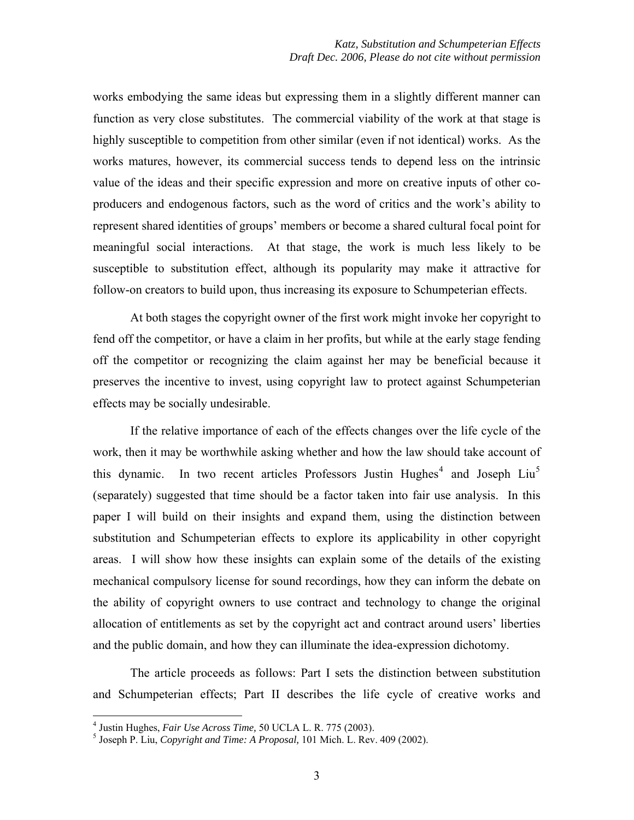works embodying the same ideas but expressing them in a slightly different manner can function as very close substitutes. The commercial viability of the work at that stage is highly susceptible to competition from other similar (even if not identical) works. As the works matures, however, its commercial success tends to depend less on the intrinsic value of the ideas and their specific expression and more on creative inputs of other coproducers and endogenous factors, such as the word of critics and the work's ability to represent shared identities of groups' members or become a shared cultural focal point for meaningful social interactions. At that stage, the work is much less likely to be susceptible to substitution effect, although its popularity may make it attractive for follow-on creators to build upon, thus increasing its exposure to Schumpeterian effects.

At both stages the copyright owner of the first work might invoke her copyright to fend off the competitor, or have a claim in her profits, but while at the early stage fending off the competitor or recognizing the claim against her may be beneficial because it preserves the incentive to invest, using copyright law to protect against Schumpeterian effects may be socially undesirable.

If the relative importance of each of the effects changes over the life cycle of the work, then it may be worthwhile asking whether and how the law should take account of this dynamic. In two recent articles Professors Justin Hughes<sup>[4](#page-2-0)</sup> and Joseph Liu<sup>[5](#page-2-1)</sup> (separately) suggested that time should be a factor taken into fair use analysis. In this paper I will build on their insights and expand them, using the distinction between substitution and Schumpeterian effects to explore its applicability in other copyright areas. I will show how these insights can explain some of the details of the existing mechanical compulsory license for sound recordings, how they can inform the debate on the ability of copyright owners to use contract and technology to change the original allocation of entitlements as set by the copyright act and contract around users' liberties and the public domain, and how they can illuminate the idea-expression dichotomy.

The article proceeds as follows: Part I sets the distinction between substitution and Schumpeterian effects; Part II describes the life cycle of creative works and

<sup>&</sup>lt;sup>4</sup> Justin Hughes, *Fair Use Across Time*, 50 UCLA L. R. 775 (2003).

<span id="page-2-1"></span><span id="page-2-0"></span><sup>&</sup>lt;sup>5</sup> Joseph P. Liu, *Copyright and Time: A Proposal*, 101 Mich. L. Rev. 409 (2002).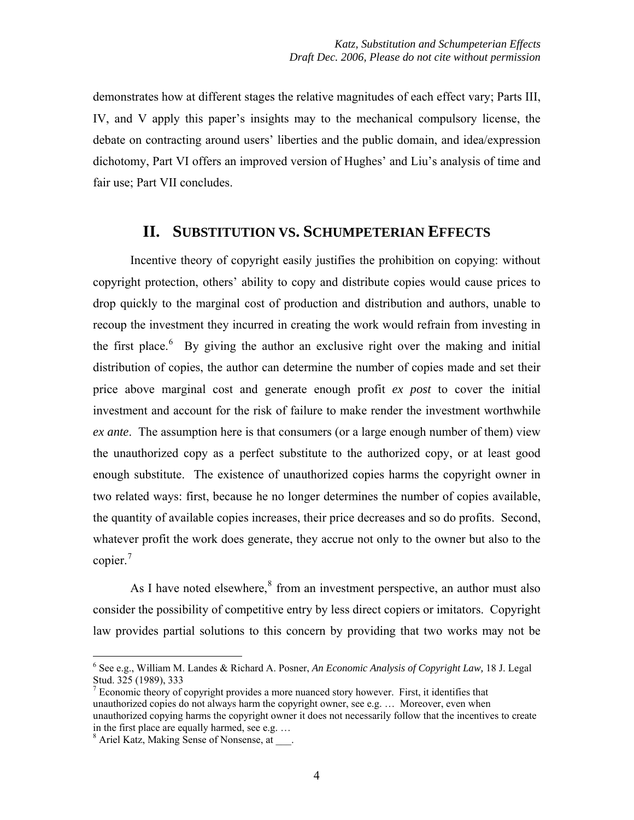demonstrates how at different stages the relative magnitudes of each effect vary; Parts III, IV, and V apply this paper's insights may to the mechanical compulsory license, the debate on contracting around users' liberties and the public domain, and idea/expression dichotomy, Part VI offers an improved version of Hughes' and Liu's analysis of time and fair use; Part VII concludes.

#### **II. SUBSTITUTION VS. SCHUMPETERIAN EFFECTS**

Incentive theory of copyright easily justifies the prohibition on copying: without copyright protection, others' ability to copy and distribute copies would cause prices to drop quickly to the marginal cost of production and distribution and authors, unable to recoup the investment they incurred in creating the work would refrain from investing in the first place.<sup>[6](#page-3-0)</sup> By giving the author an exclusive right over the making and initial distribution of copies, the author can determine the number of copies made and set their price above marginal cost and generate enough profit *ex post* to cover the initial investment and account for the risk of failure to make render the investment worthwhile *ex ante*. The assumption here is that consumers (or a large enough number of them) view the unauthorized copy as a perfect substitute to the authorized copy, or at least good enough substitute. The existence of unauthorized copies harms the copyright owner in two related ways: first, because he no longer determines the number of copies available, the quantity of available copies increases, their price decreases and so do profits. Second, whatever profit the work does generate, they accrue not only to the owner but also to the copier.<sup>[7](#page-3-1)</sup>

As I have noted elsewhere, $8$  from an investment perspective, an author must also consider the possibility of competitive entry by less direct copiers or imitators. Copyright law provides partial solutions to this concern by providing that two works may not be

<span id="page-3-0"></span><sup>6</sup> See e.g., William M. Landes & Richard A. Posner, *An Economic Analysis of Copyright Law,* 18 J. Legal Stud. 325 (1989), 333

<span id="page-3-1"></span> $7$  Economic theory of copyright provides a more nuanced story however. First, it identifies that unauthorized copies do not always harm the copyright owner, see e.g. … Moreover, even when unauthorized copying harms the copyright owner it does not necessarily follow that the incentives to create in the first place are equally harmed, see e.g. …

<span id="page-3-2"></span><sup>&</sup>lt;sup>8</sup> Ariel Katz, Making Sense of Nonsense, at .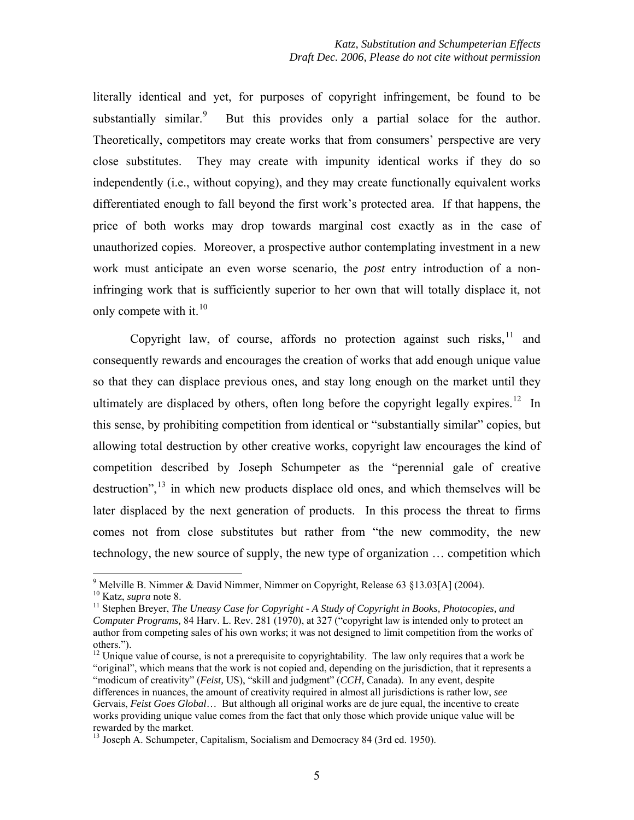literally identical and yet, for purposes of copyright infringement, be found to be substantially similar.<sup>[9](#page-4-0)</sup> But this provides only a partial solace for the author. Theoretically, competitors may create works that from consumers' perspective are very close substitutes. They may create with impunity identical works if they do so independently (i.e., without copying), and they may create functionally equivalent works differentiated enough to fall beyond the first work's protected area. If that happens, the price of both works may drop towards marginal cost exactly as in the case of unauthorized copies. Moreover, a prospective author contemplating investment in a new work must anticipate an even worse scenario, the *post* entry introduction of a noninfringing work that is sufficiently superior to her own that will totally displace it, not only compete with it. $10$ 

Copyright law, of course, affords no protection against such risks, $11$  and consequently rewards and encourages the creation of works that add enough unique value so that they can displace previous ones, and stay long enough on the market until they ultimately are displaced by others, often long before the copyright legally expires.<sup>[12](#page-4-3)</sup> In this sense, by prohibiting competition from identical or "substantially similar" copies, but allowing total destruction by other creative works, copyright law encourages the kind of competition described by Joseph Schumpeter as the "perennial gale of creative destruction",  $^{13}$  $^{13}$  $^{13}$  in which new products displace old ones, and which themselves will be later displaced by the next generation of products. In this process the threat to firms comes not from close substitutes but rather from "the new commodity, the new technology, the new source of supply, the new type of organization … competition which

<span id="page-4-0"></span><sup>&</sup>lt;sup>9</sup> Melville B. Nimmer & David Nimmer, Nimmer on Copyright, Release 63 §13.03[A] (2004).

<span id="page-4-2"></span><span id="page-4-1"></span><sup>&</sup>lt;sup>10</sup> Katz, *supra* note 8.<br><sup>11</sup> Stephen Breyer, *The Uneasy Case for Copyright - A Study of Copyright in Books, Photocopies, and Computer Programs,* 84 Harv. L. Rev. 281 (1970), at 327 ("copyright law is intended only to protect an author from competing sales of his own works; it was not designed to limit competition from the works of others.").

<span id="page-4-3"></span> $12$  Unique value of course, is not a prerequisite to copyrightability. The law only requires that a work be "original", which means that the work is not copied and, depending on the jurisdiction, that it represents a "modicum of creativity" (*Feist,* US), "skill and judgment" (*CCH,* Canada). In any event, despite differences in nuances, the amount of creativity required in almost all jurisdictions is rather low, *see*  Gervais, *Feist Goes Global*… But although all original works are de jure equal, the incentive to create works providing unique value comes from the fact that only those which provide unique value will be rewarded by the market.

<span id="page-4-4"></span><sup>&</sup>lt;sup>13</sup> Joseph A. Schumpeter, Capitalism, Socialism and Democracy 84 (3rd ed. 1950).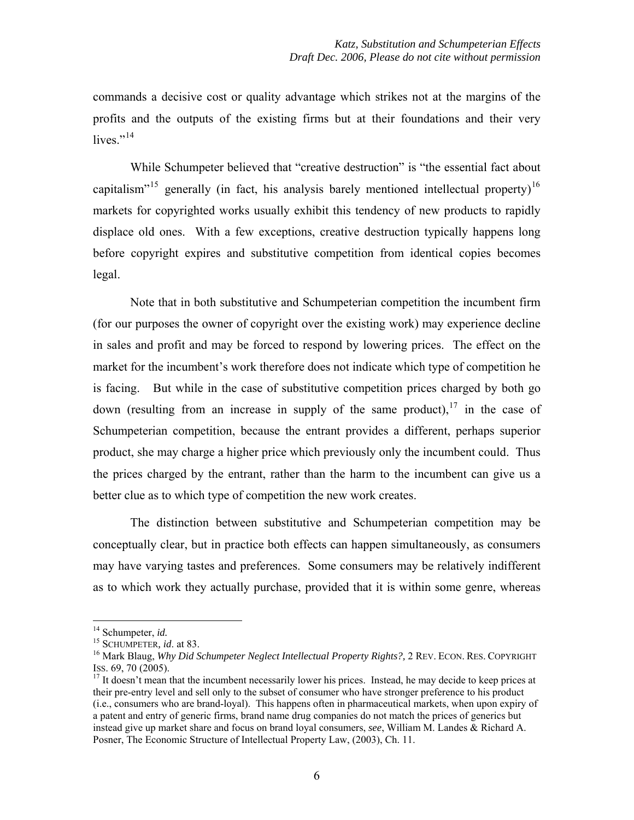commands a decisive cost or quality advantage which strikes not at the margins of the profits and the outputs of the existing firms but at their foundations and their very lives." $^{14}$  $^{14}$  $^{14}$ 

While Schumpeter believed that "creative destruction" is "the essential fact about capitalism"<sup>[15](#page-5-1)</sup> generally (in fact, his analysis barely mentioned intellectual property)<sup>[16](#page-5-2)</sup> markets for copyrighted works usually exhibit this tendency of new products to rapidly displace old ones. With a few exceptions, creative destruction typically happens long before copyright expires and substitutive competition from identical copies becomes legal.

Note that in both substitutive and Schumpeterian competition the incumbent firm (for our purposes the owner of copyright over the existing work) may experience decline in sales and profit and may be forced to respond by lowering prices. The effect on the market for the incumbent's work therefore does not indicate which type of competition he is facing. But while in the case of substitutive competition prices charged by both go down (resulting from an increase in supply of the same product),  $17$  in the case of Schumpeterian competition, because the entrant provides a different, perhaps superior product, she may charge a higher price which previously only the incumbent could. Thus the prices charged by the entrant, rather than the harm to the incumbent can give us a better clue as to which type of competition the new work creates.

The distinction between substitutive and Schumpeterian competition may be conceptually clear, but in practice both effects can happen simultaneously, as consumers may have varying tastes and preferences. Some consumers may be relatively indifferent as to which work they actually purchase, provided that it is within some genre, whereas

<span id="page-5-2"></span>

<span id="page-5-1"></span><span id="page-5-0"></span><sup>&</sup>lt;sup>14</sup> Schumpeter, *id.*<br><sup>15</sup> SCHUMPETER, *id.* at 83.<br><sup>16</sup> Mark Blaug, *Why Did Schumpeter Neglect Intellectual Property Rights?, 2 REV. ECON. RES. COPYRIGHT*<br>ISS. 69. 70 (2005).

<span id="page-5-3"></span> $17$  It doesn't mean that the incumbent necessarily lower his prices. Instead, he may decide to keep prices at their pre-entry level and sell only to the subset of consumer who have stronger preference to his product (i.e., consumers who are brand-loyal). This happens often in pharmaceutical markets, when upon expiry of a patent and entry of generic firms, brand name drug companies do not match the prices of generics but instead give up market share and focus on brand loyal consumers, *see*, William M. Landes & Richard A. Posner, The Economic Structure of Intellectual Property Law, (2003), Ch. 11.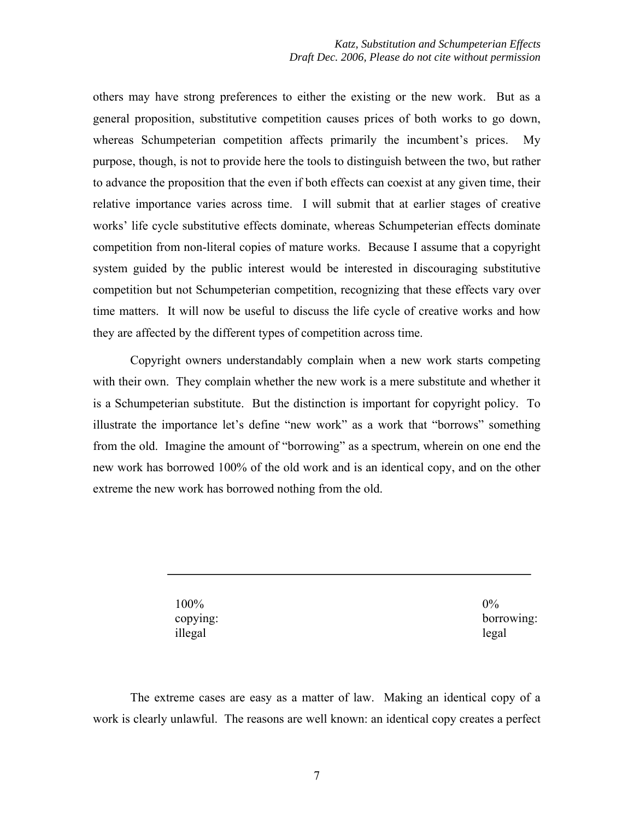others may have strong preferences to either the existing or the new work. But as a general proposition, substitutive competition causes prices of both works to go down, whereas Schumpeterian competition affects primarily the incumbent's prices. My purpose, though, is not to provide here the tools to distinguish between the two, but rather to advance the proposition that the even if both effects can coexist at any given time, their relative importance varies across time. I will submit that at earlier stages of creative works' life cycle substitutive effects dominate, whereas Schumpeterian effects dominate competition from non-literal copies of mature works. Because I assume that a copyright system guided by the public interest would be interested in discouraging substitutive competition but not Schumpeterian competition, recognizing that these effects vary over time matters. It will now be useful to discuss the life cycle of creative works and how they are affected by the different types of competition across time.

Copyright owners understandably complain when a new work starts competing with their own. They complain whether the new work is a mere substitute and whether it is a Schumpeterian substitute. But the distinction is important for copyright policy. To illustrate the importance let's define "new work" as a work that "borrows" something from the old. Imagine the amount of "borrowing" as a spectrum, wherein on one end the new work has borrowed 100% of the old work and is an identical copy, and on the other extreme the new work has borrowed nothing from the old.

> 100% copying: illegal

 $0\%$ borrowing: legal

The extreme cases are easy as a matter of law. Making an identical copy of a work is clearly unlawful. The reasons are well known: an identical copy creates a perfect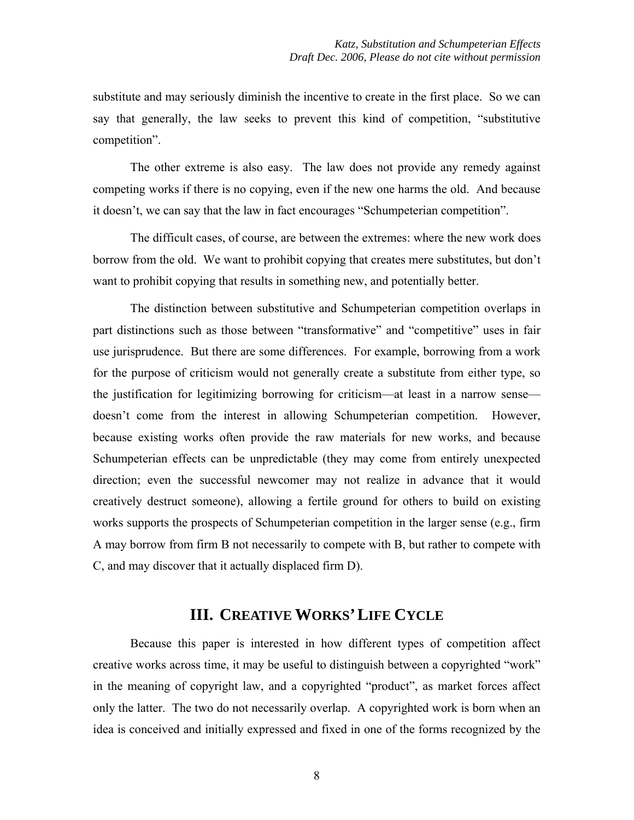substitute and may seriously diminish the incentive to create in the first place. So we can say that generally, the law seeks to prevent this kind of competition, "substitutive competition".

The other extreme is also easy. The law does not provide any remedy against competing works if there is no copying, even if the new one harms the old. And because it doesn't, we can say that the law in fact encourages "Schumpeterian competition".

The difficult cases, of course, are between the extremes: where the new work does borrow from the old. We want to prohibit copying that creates mere substitutes, but don't want to prohibit copying that results in something new, and potentially better.

The distinction between substitutive and Schumpeterian competition overlaps in part distinctions such as those between "transformative" and "competitive" uses in fair use jurisprudence. But there are some differences. For example, borrowing from a work for the purpose of criticism would not generally create a substitute from either type, so the justification for legitimizing borrowing for criticism—at least in a narrow sense doesn't come from the interest in allowing Schumpeterian competition. However, because existing works often provide the raw materials for new works, and because Schumpeterian effects can be unpredictable (they may come from entirely unexpected direction; even the successful newcomer may not realize in advance that it would creatively destruct someone), allowing a fertile ground for others to build on existing works supports the prospects of Schumpeterian competition in the larger sense (e.g., firm A may borrow from firm B not necessarily to compete with B, but rather to compete with C, and may discover that it actually displaced firm D).

### **III. CREATIVE WORKS'LIFE CYCLE**

Because this paper is interested in how different types of competition affect creative works across time, it may be useful to distinguish between a copyrighted "work" in the meaning of copyright law, and a copyrighted "product", as market forces affect only the latter. The two do not necessarily overlap. A copyrighted work is born when an idea is conceived and initially expressed and fixed in one of the forms recognized by the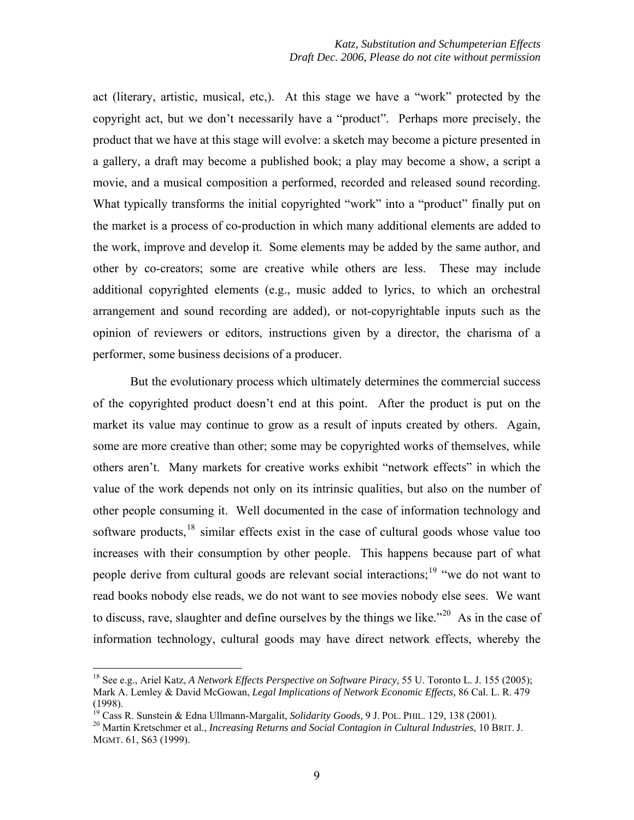act (literary, artistic, musical, etc,). At this stage we have a "work" protected by the copyright act, but we don't necessarily have a "product". Perhaps more precisely, the product that we have at this stage will evolve: a sketch may become a picture presented in a gallery, a draft may become a published book; a play may become a show, a script a movie, and a musical composition a performed, recorded and released sound recording. What typically transforms the initial copyrighted "work" into a "product" finally put on the market is a process of co-production in which many additional elements are added to the work, improve and develop it. Some elements may be added by the same author, and other by co-creators; some are creative while others are less. These may include additional copyrighted elements (e.g., music added to lyrics, to which an orchestral arrangement and sound recording are added), or not-copyrightable inputs such as the opinion of reviewers or editors, instructions given by a director, the charisma of a performer, some business decisions of a producer.

But the evolutionary process which ultimately determines the commercial success of the copyrighted product doesn't end at this point. After the product is put on the market its value may continue to grow as a result of inputs created by others. Again, some are more creative than other; some may be copyrighted works of themselves, while others aren't. Many markets for creative works exhibit "network effects" in which the value of the work depends not only on its intrinsic qualities, but also on the number of other people consuming it. Well documented in the case of information technology and software products,<sup>[18](#page-8-0)</sup> similar effects exist in the case of cultural goods whose value too increases with their consumption by other people. This happens because part of what people derive from cultural goods are relevant social interactions;<sup>[19](#page-8-1)</sup> "we do not want to read books nobody else reads, we do not want to see movies nobody else sees. We want to discuss, rave, slaughter and define ourselves by the things we like."<sup>[20](#page-8-2)</sup> As in the case of information technology, cultural goods may have direct network effects, whereby the

<span id="page-8-0"></span><sup>18</sup> See e.g., Ariel Katz, *A Network Effects Perspective on Software Piracy,* 55 U. Toronto L. J. 155 (2005); Mark A. Lemley & David McGowan, *Legal Implications of Network Economic Effects,* 86 Cal. L. R. 479 (1998).<br><sup>19</sup> Cass R. Sunstein & Edna Ullmann-Margalit, Solidarity Goods, 9 J. POL. PHIL. 129, 138 (2001).

<span id="page-8-2"></span><span id="page-8-1"></span><sup>&</sup>lt;sup>20</sup> Martin Kretschmer et al., *Increasing Returns and Social Contagion in Cultural Industries*, 10 BRIT. J. MGMT. 61, S63 (1999).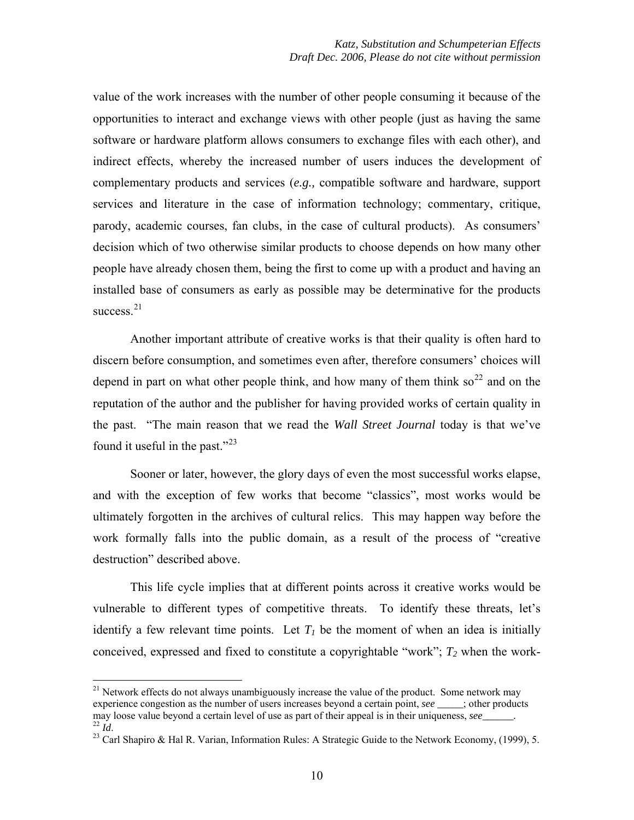value of the work increases with the number of other people consuming it because of the opportunities to interact and exchange views with other people (just as having the same software or hardware platform allows consumers to exchange files with each other), and indirect effects, whereby the increased number of users induces the development of complementary products and services (*e.g.,* compatible software and hardware, support services and literature in the case of information technology; commentary, critique, parody, academic courses, fan clubs, in the case of cultural products). As consumers' decision which of two otherwise similar products to choose depends on how many other people have already chosen them, being the first to come up with a product and having an installed base of consumers as early as possible may be determinative for the products success. $21$ 

Another important attribute of creative works is that their quality is often hard to discern before consumption, and sometimes even after, therefore consumers' choices will depend in part on what other people think, and how many of them think so<sup>[22](#page-9-1)</sup> and on the reputation of the author and the publisher for having provided works of certain quality in the past. "The main reason that we read the *Wall Street Journal* today is that we've found it useful in the past."[23](#page-9-2)

Sooner or later, however, the glory days of even the most successful works elapse, and with the exception of few works that become "classics", most works would be ultimately forgotten in the archives of cultural relics. This may happen way before the work formally falls into the public domain, as a result of the process of "creative destruction" described above.

This life cycle implies that at different points across it creative works would be vulnerable to different types of competitive threats. To identify these threats, let's identify a few relevant time points. Let  $T<sub>l</sub>$  be the moment of when an idea is initially conceived, expressed and fixed to constitute a copyrightable "work";  $T_2$  when the work-

<span id="page-9-0"></span> $21$  Network effects do not always unambiguously increase the value of the product. Some network may experience congestion as the number of users increases beyond a certain point, *see* \_\_\_\_; other products may loose value beyond a certain level of use as part of their appeal is in their uniqueness, *see* <sup>22</sup> *Id.*<br><sup>23</sup> Carl Shapiro & Hal R. Varian, Information Rules: A Strategic Guide to the Network Economy, (1999), 5.

<span id="page-9-2"></span><span id="page-9-1"></span>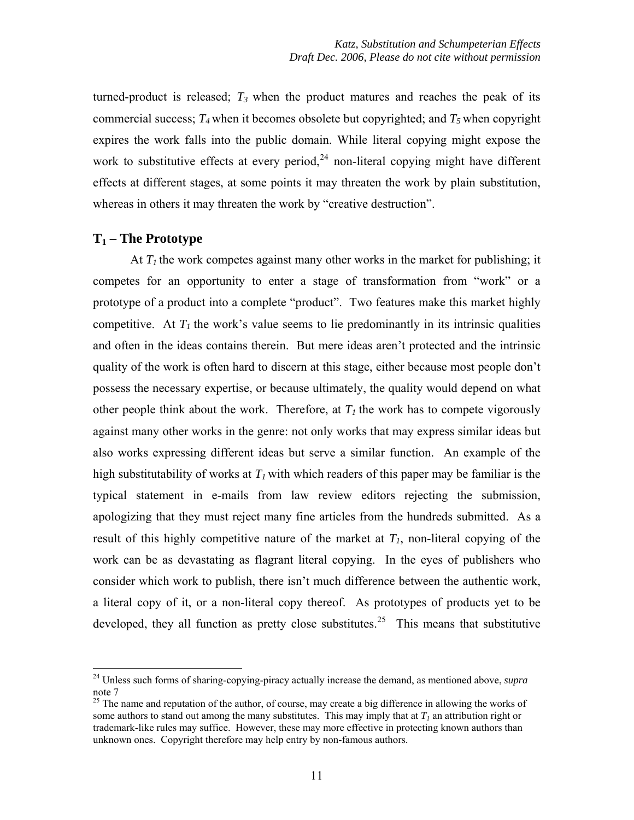turned-product is released;  $T_3$  when the product matures and reaches the peak of its commercial success;  $T_4$  when it becomes obsolete but copyrighted; and  $T_5$  when copyright expires the work falls into the public domain. While literal copying might expose the work to substitutive effects at every period,  $24$  non-literal copying might have different effects at different stages, at some points it may threaten the work by plain substitution, whereas in others it may threaten the work by "creative destruction".

#### **T1 – The Prototype**

 $\overline{a}$ 

At  $T_1$  the work competes against many other works in the market for publishing; it competes for an opportunity to enter a stage of transformation from "work" or a prototype of a product into a complete "product". Two features make this market highly competitive. At  $T_l$  the work's value seems to lie predominantly in its intrinsic qualities and often in the ideas contains therein. But mere ideas aren't protected and the intrinsic quality of the work is often hard to discern at this stage, either because most people don't possess the necessary expertise, or because ultimately, the quality would depend on what other people think about the work. Therefore, at  $T<sub>I</sub>$  the work has to compete vigorously against many other works in the genre: not only works that may express similar ideas but also works expressing different ideas but serve a similar function. An example of the high substitutability of works at  $T_l$  with which readers of this paper may be familiar is the typical statement in e-mails from law review editors rejecting the submission, apologizing that they must reject many fine articles from the hundreds submitted. As a result of this highly competitive nature of the market at  $T_l$ , non-literal copying of the work can be as devastating as flagrant literal copying. In the eyes of publishers who consider which work to publish, there isn't much difference between the authentic work, a literal copy of it, or a non-literal copy thereof. As prototypes of products yet to be developed, they all function as pretty close substitutes.<sup>[25](#page-10-1)</sup> This means that substitutive

<span id="page-10-0"></span><sup>24</sup> Unless such forms of sharing-copying-piracy actually increase the demand, as mentioned above, *supra*  note 7

<span id="page-10-1"></span> $^{25}$  The name and reputation of the author, of course, may create a big difference in allowing the works of some authors to stand out among the many substitutes. This may imply that at  $T<sub>1</sub>$  an attribution right or trademark-like rules may suffice. However, these may more effective in protecting known authors than unknown ones. Copyright therefore may help entry by non-famous authors.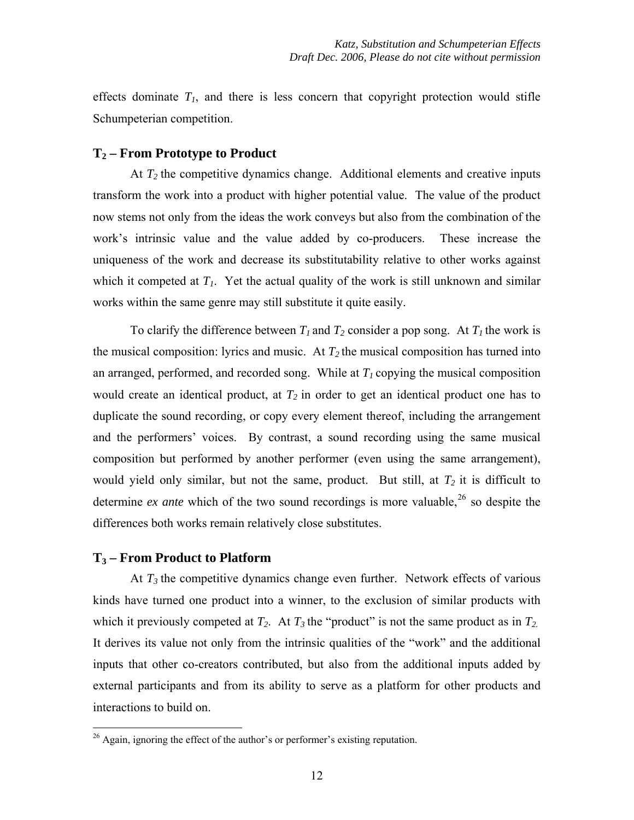effects dominate  $T_l$ , and there is less concern that copyright protection would stifle Schumpeterian competition.

#### **T2 – From Prototype to Product**

At  $T_2$  the competitive dynamics change. Additional elements and creative inputs transform the work into a product with higher potential value. The value of the product now stems not only from the ideas the work conveys but also from the combination of the work's intrinsic value and the value added by co-producers. These increase the uniqueness of the work and decrease its substitutability relative to other works against which it competed at  $T_1$ . Yet the actual quality of the work is still unknown and similar works within the same genre may still substitute it quite easily.

To clarify the difference between  $T_1$  and  $T_2$  consider a pop song. At  $T_1$  the work is the musical composition: lyrics and music. At  $T_2$  the musical composition has turned into an arranged, performed, and recorded song. While at  $T<sub>1</sub>$  copying the musical composition would create an identical product, at  $T_2$  in order to get an identical product one has to duplicate the sound recording, or copy every element thereof, including the arrangement and the performers' voices. By contrast, a sound recording using the same musical composition but performed by another performer (even using the same arrangement), would yield only similar, but not the same, product. But still, at  $T_2$  it is difficult to determine *ex ante* which of the two sound recordings is more valuable,<sup>[26](#page-11-0)</sup> so despite the differences both works remain relatively close substitutes.

#### **T3 – From Product to Platform**

 $\overline{a}$ 

At  $T_3$  the competitive dynamics change even further. Network effects of various kinds have turned one product into a winner, to the exclusion of similar products with which it previously competed at  $T_2$ . At  $T_3$  the "product" is not the same product as in  $T_2$ . It derives its value not only from the intrinsic qualities of the "work" and the additional inputs that other co-creators contributed, but also from the additional inputs added by external participants and from its ability to serve as a platform for other products and interactions to build on.

<span id="page-11-0"></span> $26$  Again, ignoring the effect of the author's or performer's existing reputation.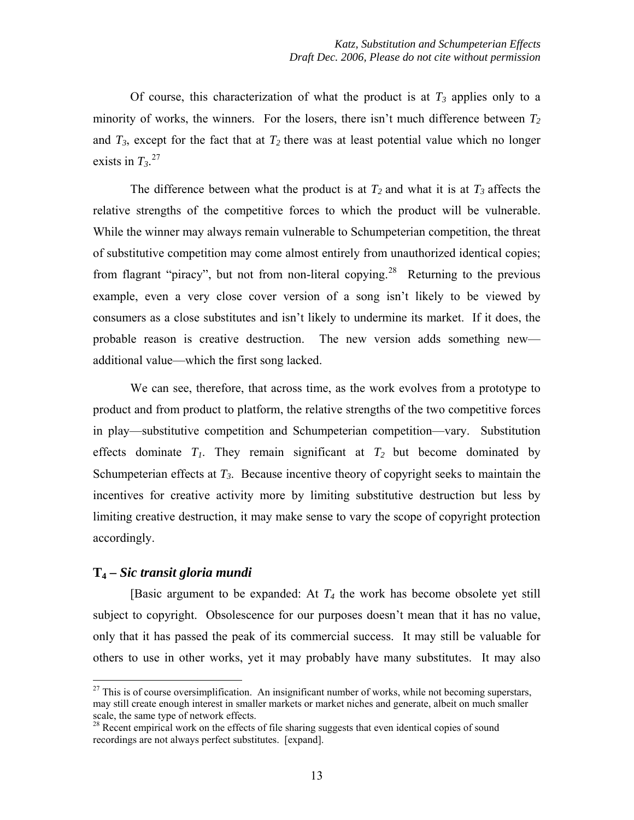Of course, this characterization of what the product is at  $T_3$  applies only to a minority of works, the winners. For the losers, there isn't much difference between  $T_2$ and  $T_3$ , except for the fact that at  $T_2$  there was at least potential value which no longer exists in  $T_3$ <sup>[27](#page-12-0)</sup>

The difference between what the product is at  $T_2$  and what it is at  $T_3$  affects the relative strengths of the competitive forces to which the product will be vulnerable. While the winner may always remain vulnerable to Schumpeterian competition, the threat of substitutive competition may come almost entirely from unauthorized identical copies; from flagrant "piracy", but not from non-literal copying.[28](#page-12-1) Returning to the previous example, even a very close cover version of a song isn't likely to be viewed by consumers as a close substitutes and isn't likely to undermine its market. If it does, the probable reason is creative destruction. The new version adds something new additional value—which the first song lacked.

We can see, therefore, that across time, as the work evolves from a prototype to product and from product to platform, the relative strengths of the two competitive forces in play—substitutive competition and Schumpeterian competition—vary. Substitution effects dominate  $T_1$ . They remain significant at  $T_2$  but become dominated by Schumpeterian effects at  $T_3$ . Because incentive theory of copyright seeks to maintain the incentives for creative activity more by limiting substitutive destruction but less by limiting creative destruction, it may make sense to vary the scope of copyright protection accordingly.

#### **T4 –** *Sic transit gloria mundi*

 $\overline{a}$ 

[Basic argument to be expanded: At  $T_4$  the work has become obsolete yet still subject to copyright. Obsolescence for our purposes doesn't mean that it has no value, only that it has passed the peak of its commercial success. It may still be valuable for others to use in other works, yet it may probably have many substitutes. It may also

<span id="page-12-0"></span> $^{27}$  This is of course oversimplification. An insignificant number of works, while not becoming superstars, may still create enough interest in smaller markets or market niches and generate, albeit on much smaller scale, the same type of network effects.

<span id="page-12-1"></span><sup>&</sup>lt;sup>28</sup> Recent empirical work on the effects of file sharing suggests that even identical copies of sound recordings are not always perfect substitutes. [expand].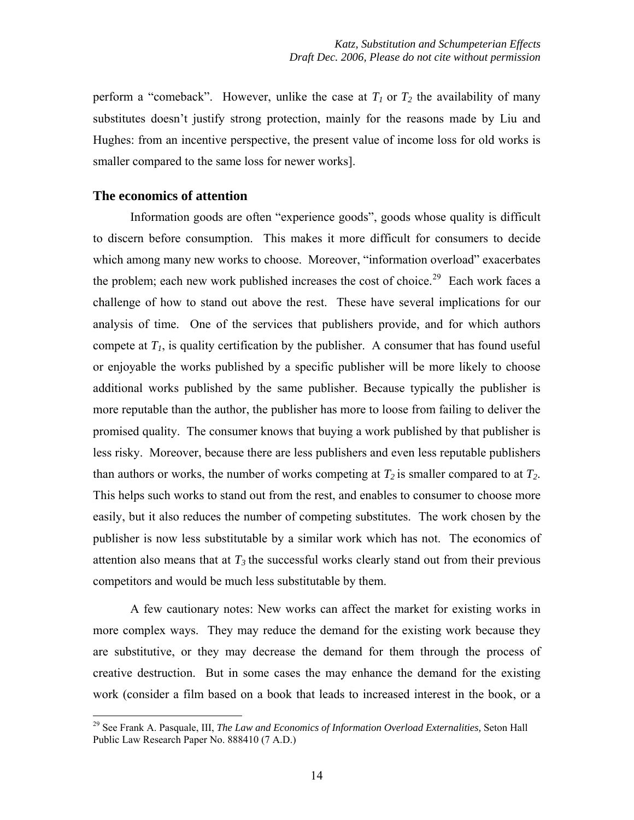perform a "comeback". However, unlike the case at  $T_1$  or  $T_2$  the availability of many substitutes doesn't justify strong protection, mainly for the reasons made by Liu and Hughes: from an incentive perspective, the present value of income loss for old works is smaller compared to the same loss for newer works].

#### **The economics of attention**

 $\overline{a}$ 

Information goods are often "experience goods", goods whose quality is difficult to discern before consumption. This makes it more difficult for consumers to decide which among many new works to choose. Moreover, "information overload" exacerbates the problem; each new work published increases the cost of choice.<sup>[29](#page-13-0)</sup> Each work faces a challenge of how to stand out above the rest. These have several implications for our analysis of time. One of the services that publishers provide, and for which authors compete at  $T<sub>1</sub>$ , is quality certification by the publisher. A consumer that has found useful or enjoyable the works published by a specific publisher will be more likely to choose additional works published by the same publisher. Because typically the publisher is more reputable than the author, the publisher has more to loose from failing to deliver the promised quality. The consumer knows that buying a work published by that publisher is less risky. Moreover, because there are less publishers and even less reputable publishers than authors or works, the number of works competing at  $T_2$  is smaller compared to at  $T_2$ . This helps such works to stand out from the rest, and enables to consumer to choose more easily, but it also reduces the number of competing substitutes. The work chosen by the publisher is now less substitutable by a similar work which has not. The economics of attention also means that at  $T_3$  the successful works clearly stand out from their previous competitors and would be much less substitutable by them.

A few cautionary notes: New works can affect the market for existing works in more complex ways. They may reduce the demand for the existing work because they are substitutive, or they may decrease the demand for them through the process of creative destruction. But in some cases the may enhance the demand for the existing work (consider a film based on a book that leads to increased interest in the book, or a

<span id="page-13-0"></span><sup>29</sup> See Frank A. Pasquale, III, *The Law and Economics of Information Overload Externalities,* Seton Hall Public Law Research Paper No. 888410 (7 A.D.)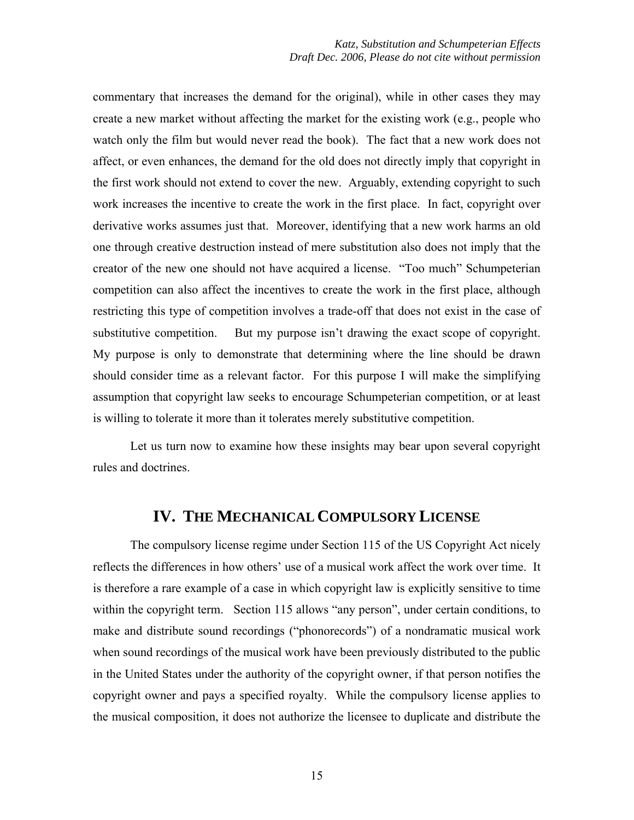commentary that increases the demand for the original), while in other cases they may create a new market without affecting the market for the existing work (e.g., people who watch only the film but would never read the book). The fact that a new work does not affect, or even enhances, the demand for the old does not directly imply that copyright in the first work should not extend to cover the new. Arguably, extending copyright to such work increases the incentive to create the work in the first place. In fact, copyright over derivative works assumes just that. Moreover, identifying that a new work harms an old one through creative destruction instead of mere substitution also does not imply that the creator of the new one should not have acquired a license. "Too much" Schumpeterian competition can also affect the incentives to create the work in the first place, although restricting this type of competition involves a trade-off that does not exist in the case of substitutive competition. But my purpose isn't drawing the exact scope of copyright. My purpose is only to demonstrate that determining where the line should be drawn should consider time as a relevant factor. For this purpose I will make the simplifying assumption that copyright law seeks to encourage Schumpeterian competition, or at least is willing to tolerate it more than it tolerates merely substitutive competition.

Let us turn now to examine how these insights may bear upon several copyright rules and doctrines.

# **IV. THE MECHANICAL COMPULSORY LICENSE**

The compulsory license regime under Section 115 of the US Copyright Act nicely reflects the differences in how others' use of a musical work affect the work over time. It is therefore a rare example of a case in which copyright law is explicitly sensitive to time within the copyright term. Section 115 allows "any person", under certain conditions, to make and distribute sound recordings ("phonorecords") of a nondramatic musical work when sound recordings of the musical work have been previously distributed to the public in the United States under the authority of the copyright owner, if that person notifies the copyright owner and pays a specified royalty. While the compulsory license applies to the musical composition, it does not authorize the licensee to duplicate and distribute the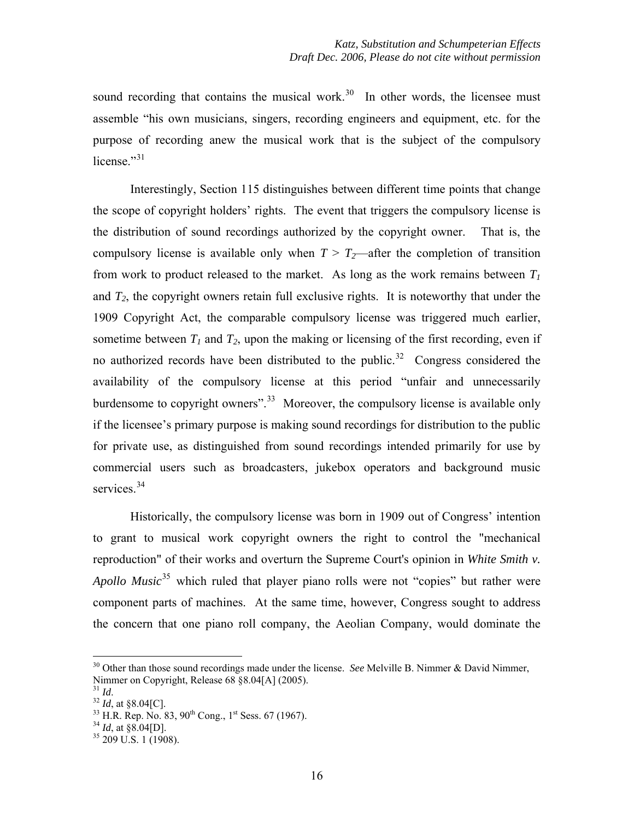sound recording that contains the musical work.<sup>[30](#page-15-0)</sup> In other words, the licensee must assemble "his own musicians, singers, recording engineers and equipment, etc. for the purpose of recording anew the musical work that is the subject of the compulsory license $"31$  $"31$ 

Interestingly, Section 115 distinguishes between different time points that change the scope of copyright holders' rights. The event that triggers the compulsory license is the distribution of sound recordings authorized by the copyright owner. That is, the compulsory license is available only when  $T > T_2$ —after the completion of transition from work to product released to the market. As long as the work remains between  $T_1$ and  $T_2$ , the copyright owners retain full exclusive rights. It is noteworthy that under the 1909 Copyright Act, the comparable compulsory license was triggered much earlier, sometime between  $T_1$  and  $T_2$ , upon the making or licensing of the first recording, even if no authorized records have been distributed to the public.<sup>[32](#page-15-2)</sup> Congress considered the availability of the compulsory license at this period "unfair and unnecessarily burdensome to copyright owners".<sup>[33](#page-15-3)</sup> Moreover, the compulsory license is available only if the licensee's primary purpose is making sound recordings for distribution to the public for private use, as distinguished from sound recordings intended primarily for use by commercial users such as broadcasters, jukebox operators and background music services.<sup>[34](#page-15-4)</sup>

Historically, the compulsory license was born in 1909 out of Congress' intention to grant to musical work copyright owners the right to control the "mechanical reproduction" of their works and overturn the Supreme Court's opinion in *White Smith v. Apollo Music*<sup>[35](#page-15-5)</sup> which ruled that player piano rolls were not "copies" but rather were component parts of machines. At the same time, however, Congress sought to address the concern that one piano roll company, the Aeolian Company, would dominate the

<sup>&</sup>lt;sup>30</sup> Other than those sound recordings made under the license. *See* Melville B. Nimmer & David Nimmer, Nimmer on Copyright, Release 68 §8.04[A] (2005).

<span id="page-15-3"></span>

<span id="page-15-2"></span><span id="page-15-1"></span><span id="page-15-0"></span><sup>&</sup>lt;sup>31</sup> *Id.* 32 *Id*, at §8.04[C].<br><sup>32</sup> *Id*, at §8.04[C].<br><sup>33</sup> H.R. Rep. No. 83, 90<sup>th</sup> Cong., 1<sup>st</sup> Sess. 67 (1967).<br><sup>34</sup> *Id*, at §8.04[D].<br><sup>35</sup> 209 U.S. 1 (1908).

<span id="page-15-5"></span><span id="page-15-4"></span>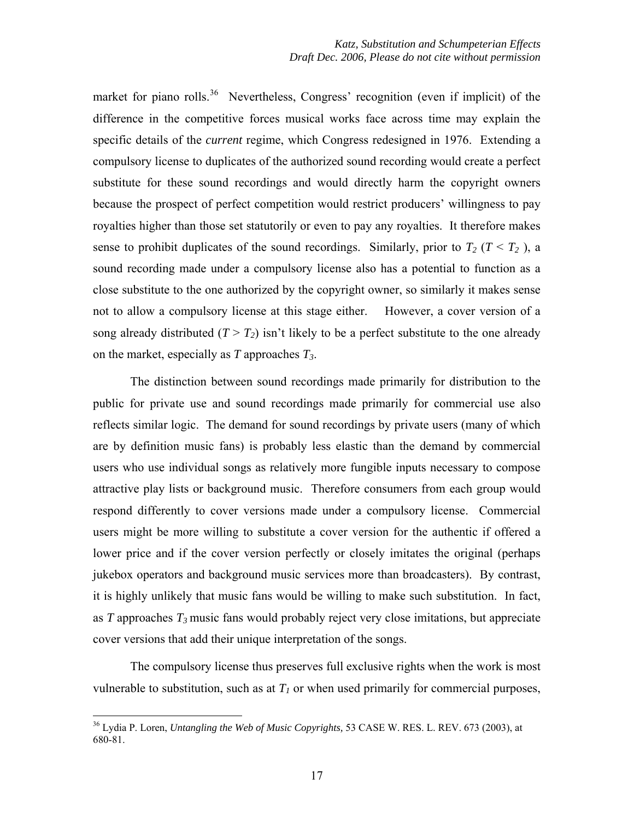market for piano rolls.<sup>[36](#page-16-0)</sup> Nevertheless, Congress' recognition (even if implicit) of the difference in the competitive forces musical works face across time may explain the specific details of the *current* regime, which Congress redesigned in 1976. Extending a compulsory license to duplicates of the authorized sound recording would create a perfect substitute for these sound recordings and would directly harm the copyright owners because the prospect of perfect competition would restrict producers' willingness to pay royalties higher than those set statutorily or even to pay any royalties. It therefore makes sense to prohibit duplicates of the sound recordings. Similarly, prior to  $T_2$  ( $T \le T_2$ ), a sound recording made under a compulsory license also has a potential to function as a close substitute to the one authorized by the copyright owner, so similarly it makes sense not to allow a compulsory license at this stage either. However, a cover version of a song already distributed  $(T > T_2)$  isn't likely to be a perfect substitute to the one already on the market, especially as *T* approaches *T3*.

The distinction between sound recordings made primarily for distribution to the public for private use and sound recordings made primarily for commercial use also reflects similar logic. The demand for sound recordings by private users (many of which are by definition music fans) is probably less elastic than the demand by commercial users who use individual songs as relatively more fungible inputs necessary to compose attractive play lists or background music. Therefore consumers from each group would respond differently to cover versions made under a compulsory license. Commercial users might be more willing to substitute a cover version for the authentic if offered a lower price and if the cover version perfectly or closely imitates the original (perhaps jukebox operators and background music services more than broadcasters). By contrast, it is highly unlikely that music fans would be willing to make such substitution. In fact, as  $T$  approaches  $T_3$  music fans would probably reject very close imitations, but appreciate cover versions that add their unique interpretation of the songs.

The compulsory license thus preserves full exclusive rights when the work is most vulnerable to substitution, such as at  $T_l$  or when used primarily for commercial purposes,

<span id="page-16-0"></span><sup>36</sup> Lydia P. Loren, *Untangling the Web of Music Copyrights,* 53 CASE W. RES. L. REV. 673 (2003), at 680-81.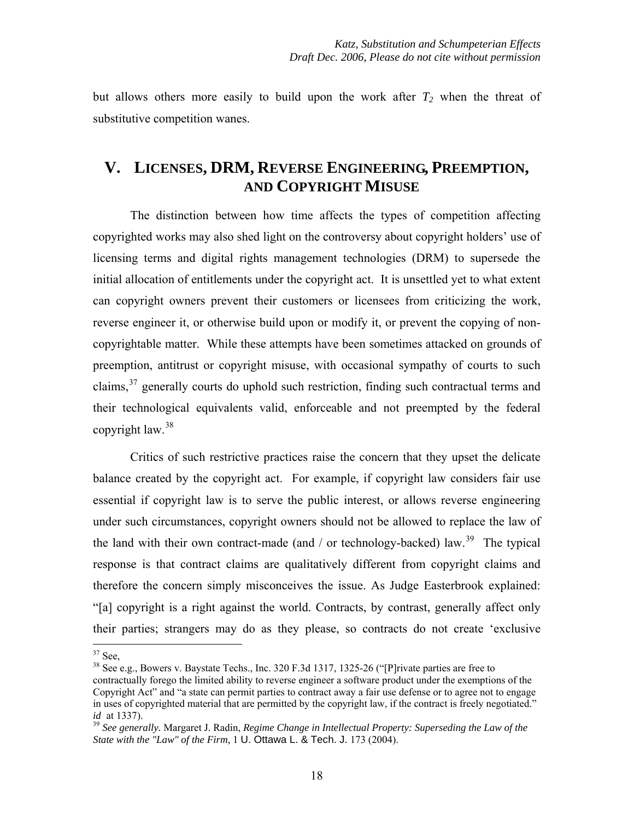but allows others more easily to build upon the work after  $T_2$  when the threat of substitutive competition wanes.

# **V. LICENSES, DRM, REVERSE ENGINEERING, PREEMPTION, AND COPYRIGHT MISUSE**

The distinction between how time affects the types of competition affecting copyrighted works may also shed light on the controversy about copyright holders' use of licensing terms and digital rights management technologies (DRM) to supersede the initial allocation of entitlements under the copyright act. It is unsettled yet to what extent can copyright owners prevent their customers or licensees from criticizing the work, reverse engineer it, or otherwise build upon or modify it, or prevent the copying of noncopyrightable matter. While these attempts have been sometimes attacked on grounds of preemption, antitrust or copyright misuse, with occasional sympathy of courts to such claims, $37$  generally courts do uphold such restriction, finding such contractual terms and their technological equivalents valid, enforceable and not preempted by the federal copyright  $law.<sup>38</sup>$  $law.<sup>38</sup>$  $law.<sup>38</sup>$ 

Critics of such restrictive practices raise the concern that they upset the delicate balance created by the copyright act. For example, if copyright law considers fair use essential if copyright law is to serve the public interest, or allows reverse engineering under such circumstances, copyright owners should not be allowed to replace the law of the land with their own contract-made (and / or technology-backed) law.<sup>[39](#page-17-2)</sup> The typical response is that contract claims are qualitatively different from copyright claims and therefore the concern simply misconceives the issue. As Judge Easterbrook explained: "[a] copyright is a right against the world. Contracts, by contrast, generally affect only their parties; strangers may do as they please, so contracts do not create 'exclusive

<span id="page-17-0"></span> $37$  See,

<span id="page-17-1"></span><sup>38</sup> See e.g., Bowers v. Baystate Techs., Inc. 320 F.3d 1317, 1325-26 ("[P]rivate parties are free to contractually forego the limited ability to reverse engineer a software product under the exemptions of the Copyright Act" and "a state can permit parties to contract away a fair use defense or to agree not to engage in uses of copyrighted material that are permitted by the copyright law, if the contract is freely negotiated." *id* at 1337).<br><sup>39</sup> See generally. Margaret J. Radin, *Regime Change in Intellectual Property: Superseding the Law of the* 

<span id="page-17-2"></span>*State with the "Law" of the Firm,* 1 U. Ottawa L. & Tech. J. 173 (2004).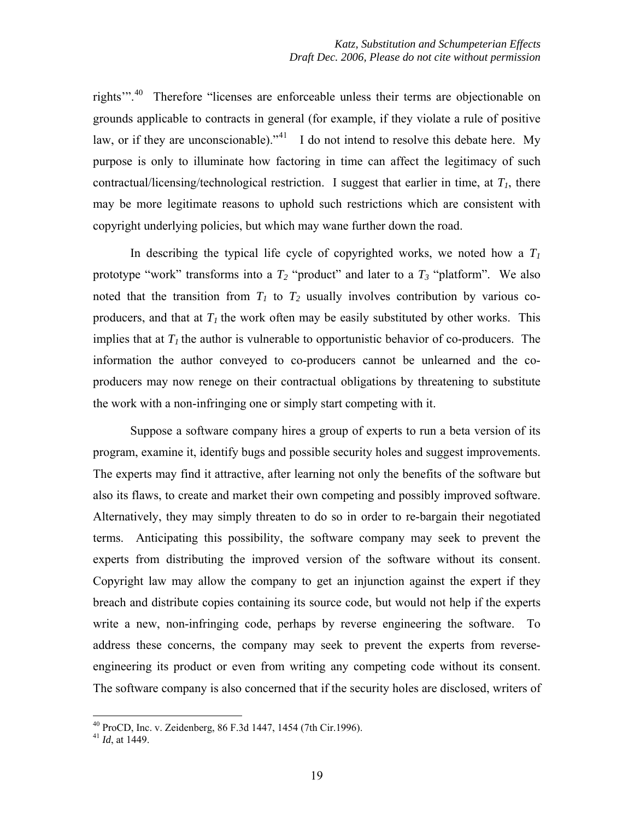rights"<sup>[40](#page-18-0)</sup> Therefore "licenses are enforceable unless their terms are objectionable on grounds applicable to contracts in general (for example, if they violate a rule of positive law, or if they are unconscionable)."<sup>[41](#page-18-1)</sup> I do not intend to resolve this debate here. My purpose is only to illuminate how factoring in time can affect the legitimacy of such contractual/licensing/technological restriction. I suggest that earlier in time, at  $T<sub>1</sub>$ , there may be more legitimate reasons to uphold such restrictions which are consistent with copyright underlying policies, but which may wane further down the road.

In describing the typical life cycle of copyrighted works, we noted how a  $T_1$ prototype "work" transforms into a  $T_2$  "product" and later to a  $T_3$  "platform". We also noted that the transition from  $T_1$  to  $T_2$  usually involves contribution by various coproducers, and that at  $T_l$  the work often may be easily substituted by other works. This implies that at  $T_l$  the author is vulnerable to opportunistic behavior of co-producers. The information the author conveyed to co-producers cannot be unlearned and the coproducers may now renege on their contractual obligations by threatening to substitute the work with a non-infringing one or simply start competing with it.

Suppose a software company hires a group of experts to run a beta version of its program, examine it, identify bugs and possible security holes and suggest improvements. The experts may find it attractive, after learning not only the benefits of the software but also its flaws, to create and market their own competing and possibly improved software. Alternatively, they may simply threaten to do so in order to re-bargain their negotiated terms. Anticipating this possibility, the software company may seek to prevent the experts from distributing the improved version of the software without its consent. Copyright law may allow the company to get an injunction against the expert if they breach and distribute copies containing its source code, but would not help if the experts write a new, non-infringing code, perhaps by reverse engineering the software. To address these concerns, the company may seek to prevent the experts from reverseengineering its product or even from writing any competing code without its consent. The software company is also concerned that if the security holes are disclosed, writers of

<sup>40</sup> ProCD, Inc. v. Zeidenberg, 86 F.3d 1447, 1454 (7th Cir.1996).

<span id="page-18-1"></span><span id="page-18-0"></span><sup>41</sup> *Id*, at 1449.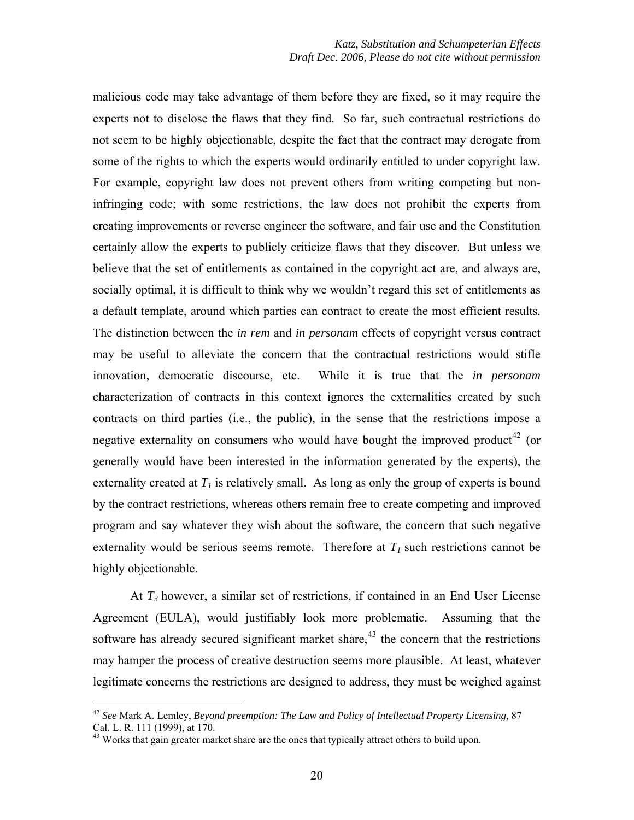malicious code may take advantage of them before they are fixed, so it may require the experts not to disclose the flaws that they find. So far, such contractual restrictions do not seem to be highly objectionable, despite the fact that the contract may derogate from some of the rights to which the experts would ordinarily entitled to under copyright law. For example, copyright law does not prevent others from writing competing but noninfringing code; with some restrictions, the law does not prohibit the experts from creating improvements or reverse engineer the software, and fair use and the Constitution certainly allow the experts to publicly criticize flaws that they discover. But unless we believe that the set of entitlements as contained in the copyright act are, and always are, socially optimal, it is difficult to think why we wouldn't regard this set of entitlements as a default template, around which parties can contract to create the most efficient results. The distinction between the *in rem* and *in personam* effects of copyright versus contract may be useful to alleviate the concern that the contractual restrictions would stifle innovation, democratic discourse, etc. While it is true that the *in personam*  characterization of contracts in this context ignores the externalities created by such contracts on third parties (i.e., the public), in the sense that the restrictions impose a negative externality on consumers who would have bought the improved product<sup>[42](#page-19-0)</sup> (or generally would have been interested in the information generated by the experts), the externality created at  $T_l$  is relatively small. As long as only the group of experts is bound by the contract restrictions, whereas others remain free to create competing and improved program and say whatever they wish about the software, the concern that such negative externality would be serious seems remote. Therefore at  $T<sub>1</sub>$  such restrictions cannot be highly objectionable.

At *T3* however, a similar set of restrictions, if contained in an End User License Agreement (EULA), would justifiably look more problematic. Assuming that the software has already secured significant market share,  $43$  the concern that the restrictions may hamper the process of creative destruction seems more plausible. At least, whatever legitimate concerns the restrictions are designed to address, they must be weighed against

<span id="page-19-0"></span><sup>42</sup> *See* Mark A. Lemley, *Beyond preemption: The Law and Policy of Intellectual Property Licensing,* 87 Cal. L. R. 111 (1999), at 170.

<span id="page-19-1"></span><sup>&</sup>lt;sup>43</sup> Works that gain greater market share are the ones that typically attract others to build upon.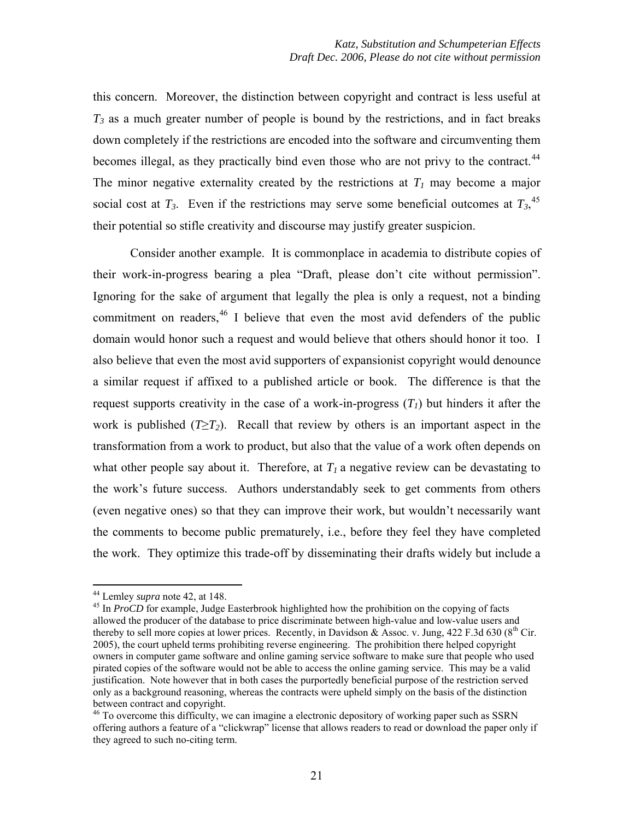this concern. Moreover, the distinction between copyright and contract is less useful at  $T_3$  as a much greater number of people is bound by the restrictions, and in fact breaks down completely if the restrictions are encoded into the software and circumventing them becomes illegal, as they practically bind even those who are not privy to the contract.<sup>[44](#page-20-0)</sup> The minor negative externality created by the restrictions at  $T_1$  may become a major social cost at  $T_3$ . Even if the restrictions may serve some beneficial outcomes at  $T_3$ <sup>[45](#page-20-1)</sup>, their potential so stifle creativity and discourse may justify greater suspicion.

Consider another example. It is commonplace in academia to distribute copies of their work-in-progress bearing a plea "Draft, please don't cite without permission". Ignoring for the sake of argument that legally the plea is only a request, not a binding commitment on readers, <sup>[46](#page-20-2)</sup> I believe that even the most avid defenders of the public domain would honor such a request and would believe that others should honor it too. I also believe that even the most avid supporters of expansionist copyright would denounce a similar request if affixed to a published article or book. The difference is that the request supports creativity in the case of a work-in-progress  $(T<sub>1</sub>)$  but hinders it after the work is published  $(T \geq T_2)$ . Recall that review by others is an important aspect in the transformation from a work to product, but also that the value of a work often depends on what other people say about it. Therefore, at  $T_1$  a negative review can be devastating to the work's future success. Authors understandably seek to get comments from others (even negative ones) so that they can improve their work, but wouldn't necessarily want the comments to become public prematurely, i.e., before they feel they have completed the work. They optimize this trade-off by disseminating their drafts widely but include a

<span id="page-20-1"></span><span id="page-20-0"></span><sup>&</sup>lt;sup>44</sup> Lemley *supra* note 42, at 148.<br><sup>45</sup> In *ProCD* for example, Judge Easterbrook highlighted how the prohibition on the copying of facts allowed the producer of the database to price discriminate between high-value and low-value users and thereby to sell more copies at lower prices. Recently, in Davidson & Assoc. v. Jung, 422 F.3d 630 ( $8<sup>th</sup>$  Cir. 2005), the court upheld terms prohibiting reverse engineering. The prohibition there helped copyright owners in computer game software and online gaming service software to make sure that people who used pirated copies of the software would not be able to access the online gaming service. This may be a valid justification. Note however that in both cases the purportedly beneficial purpose of the restriction served only as a background reasoning, whereas the contracts were upheld simply on the basis of the distinction between contract and copyright.

<span id="page-20-2"></span><sup>&</sup>lt;sup>46</sup> To overcome this difficulty, we can imagine a electronic depository of working paper such as SSRN offering authors a feature of a "clickwrap" license that allows readers to read or download the paper only if they agreed to such no-citing term.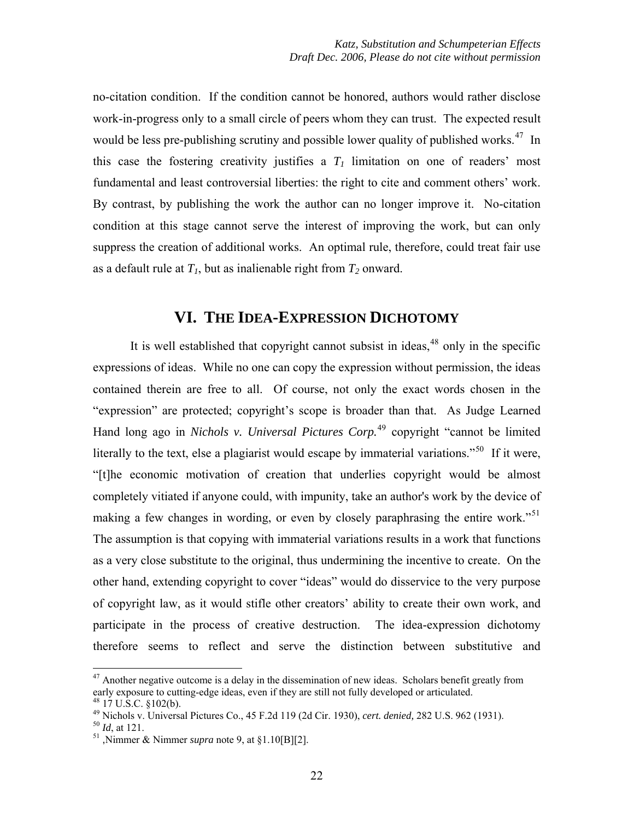no-citation condition. If the condition cannot be honored, authors would rather disclose work-in-progress only to a small circle of peers whom they can trust. The expected result would be less pre-publishing scrutiny and possible lower quality of published works.<sup>[47](#page-21-0)</sup> In this case the fostering creativity justifies a  $T_1$  limitation on one of readers' most fundamental and least controversial liberties: the right to cite and comment others' work. By contrast, by publishing the work the author can no longer improve it. No-citation condition at this stage cannot serve the interest of improving the work, but can only suppress the creation of additional works. An optimal rule, therefore, could treat fair use as a default rule at  $T_1$ , but as inalienable right from  $T_2$  onward.

# **VI. THE IDEA-EXPRESSION DICHOTOMY**

It is well established that copyright cannot subsist in ideas, $48$  only in the specific expressions of ideas. While no one can copy the expression without permission, the ideas contained therein are free to all. Of course, not only the exact words chosen in the "expression" are protected; copyright's scope is broader than that. As Judge Learned Hand long ago in *Nichols v. Universal Pictures Corp.*[49](#page-21-2) copyright "cannot be limited literally to the text, else a plagiarist would escape by immaterial variations."<sup>[50](#page-21-3)</sup> If it were, "[t]he economic motivation of creation that underlies copyright would be almost completely vitiated if anyone could, with impunity, take an author's work by the device of making a few changes in wording, or even by closely paraphrasing the entire work.<sup>[51](#page-21-4)</sup> The assumption is that copying with immaterial variations results in a work that functions as a very close substitute to the original, thus undermining the incentive to create. On the other hand, extending copyright to cover "ideas" would do disservice to the very purpose of copyright law, as it would stifle other creators' ability to create their own work, and participate in the process of creative destruction. The idea-expression dichotomy therefore seems to reflect and serve the distinction between substitutive and

<span id="page-21-0"></span> $47$  Another negative outcome is a delay in the dissemination of new ideas. Scholars benefit greatly from early exposure to cutting-edge ideas, even if they are still not fully developed or articulated. <sup>48</sup> 17 U.S.C. §102(b).

<span id="page-21-3"></span><span id="page-21-2"></span><span id="page-21-1"></span><sup>49</sup> Nichols v. Universal Pictures Co., 45 F.2d 119 (2d Cir. 1930), *cert. denied*, 282 U.S. 962 (1931).<br><sup>50</sup> *Id*, at 121.<br><sup>51</sup> ,Nimmer & Nimmer *supra* note 9, at §1.10[B][2].

<span id="page-21-4"></span>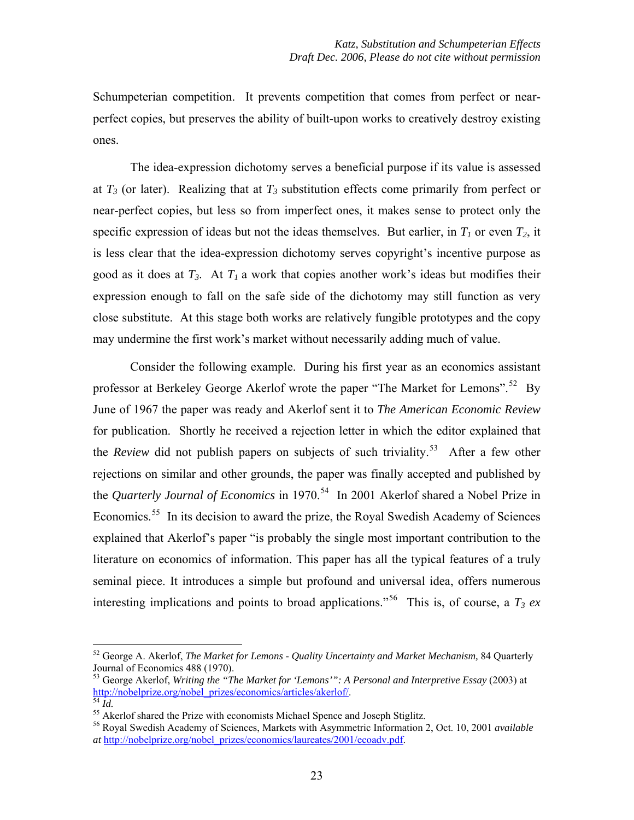Schumpeterian competition. It prevents competition that comes from perfect or nearperfect copies, but preserves the ability of built-upon works to creatively destroy existing ones.

The idea-expression dichotomy serves a beneficial purpose if its value is assessed at  $T_3$  (or later). Realizing that at  $T_3$  substitution effects come primarily from perfect or near-perfect copies, but less so from imperfect ones, it makes sense to protect only the specific expression of ideas but not the ideas themselves. But earlier, in  $T_1$  or even  $T_2$ , it is less clear that the idea-expression dichotomy serves copyright's incentive purpose as good as it does at  $T_3$ . At  $T_1$  a work that copies another work's ideas but modifies their expression enough to fall on the safe side of the dichotomy may still function as very close substitute. At this stage both works are relatively fungible prototypes and the copy may undermine the first work's market without necessarily adding much of value.

Consider the following example. During his first year as an economics assistant professor at Berkeley George Akerlof wrote the paper "The Market for Lemons".<sup>[52](#page-22-0)</sup> By June of 1967 the paper was ready and Akerlof sent it to *The American Economic Review* for publication. Shortly he received a rejection letter in which the editor explained that the *Review* did not publish papers on subjects of such triviality.<sup>[53](#page-22-1)</sup> After a few other rejections on similar and other grounds, the paper was finally accepted and published by the *Quarterly Journal of Economics* in 1970.<sup>[54](#page-22-2)</sup> In 2001 Akerlof shared a Nobel Prize in Economics.<sup>[55](#page-22-3)</sup> In its decision to award the prize, the Royal Swedish Academy of Sciences explained that Akerlof's paper "is probably the single most important contribution to the literature on economics of information. This paper has all the typical features of a truly seminal piece. It introduces a simple but profound and universal idea, offers numerous interesting implications and points to broad applications.<sup>[56](#page-22-4)</sup> This is, of course, a  $T_3$  *ex* 

<span id="page-22-0"></span><sup>52</sup> George A. Akerlof, *The Market for Lemons - Quality Uncertainty and Market Mechanism,* 84 Quarterly

<span id="page-22-1"></span>Journal of Economics 488 (1970).<br>
<sup>53</sup> George Akerlof, *Writing the "The Market for 'Lemons'"*: A<br>
<u>http://nobelprize.org/nobel\_prizes/economics/articles/akerlof/</u>.<br>
<sup>54</sup> Id. 53 George Akerlof, *Writing the "The Market for 'Lemons'": A Personal and Interpretive Essay* (2003) at

<span id="page-22-4"></span><span id="page-22-3"></span><span id="page-22-2"></span><sup>&</sup>lt;sup>55</sup> Akerlof shared the Prize with economists Michael Spence and Joseph Stiglitz.<br><sup>56</sup> Royal Swedish Academy of Sciences, Markets with Asymmetric Information 2, Oct. 10, 2001 *available at* [http://nobelprize.org/nobel\\_prizes/economics/laureates/2001/ecoadv.pdf](http://nobelprize.org/nobel_prizes/economics/laureates/2001/ecoadv.pdf).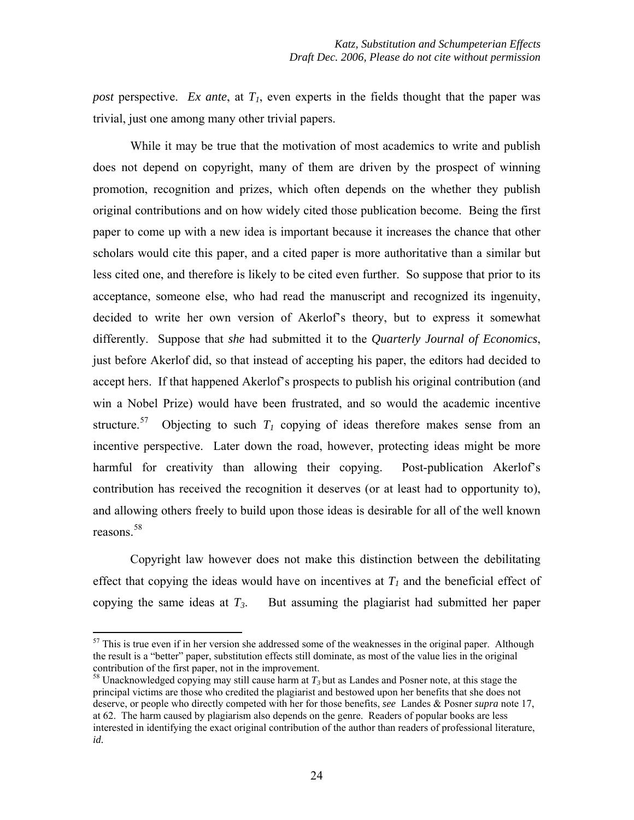*post* perspective. *Ex ante*, at  $T_1$ , even experts in the fields thought that the paper was trivial, just one among many other trivial papers.

While it may be true that the motivation of most academics to write and publish does not depend on copyright, many of them are driven by the prospect of winning promotion, recognition and prizes, which often depends on the whether they publish original contributions and on how widely cited those publication become. Being the first paper to come up with a new idea is important because it increases the chance that other scholars would cite this paper, and a cited paper is more authoritative than a similar but less cited one, and therefore is likely to be cited even further. So suppose that prior to its acceptance, someone else, who had read the manuscript and recognized its ingenuity, decided to write her own version of Akerlof's theory, but to express it somewhat differently. Suppose that *she* had submitted it to the *Quarterly Journal of Economics*, just before Akerlof did, so that instead of accepting his paper, the editors had decided to accept hers. If that happened Akerlof's prospects to publish his original contribution (and win a Nobel Prize) would have been frustrated, and so would the academic incentive structure.<sup>[57](#page-23-0)</sup> Objecting to such  $T_1$  copying of ideas therefore makes sense from an incentive perspective. Later down the road, however, protecting ideas might be more harmful for creativity than allowing their copying. Post-publication Akerlof's contribution has received the recognition it deserves (or at least had to opportunity to), and allowing others freely to build upon those ideas is desirable for all of the well known reasons.[58](#page-23-1)

Copyright law however does not make this distinction between the debilitating effect that copying the ideas would have on incentives at  $T<sub>1</sub>$  and the beneficial effect of copying the same ideas at  $T_3$ . But assuming the plagiarist had submitted her paper

<span id="page-23-0"></span> $57$  This is true even if in her version she addressed some of the weaknesses in the original paper. Although the result is a "better" paper, substitution effects still dominate, as most of the value lies in the original contribution of the first paper, not in the improvement.

<span id="page-23-1"></span><sup>58</sup> Unacknowledged copying may still cause harm at *T3* but as Landes and Posner note, at this stage the principal victims are those who credited the plagiarist and bestowed upon her benefits that she does not deserve, or people who directly competed with her for those benefits, *see* Landes & Posner *supra* note 17, at 62. The harm caused by plagiarism also depends on the genre. Readers of popular books are less interested in identifying the exact original contribution of the author than readers of professional literature, *id.*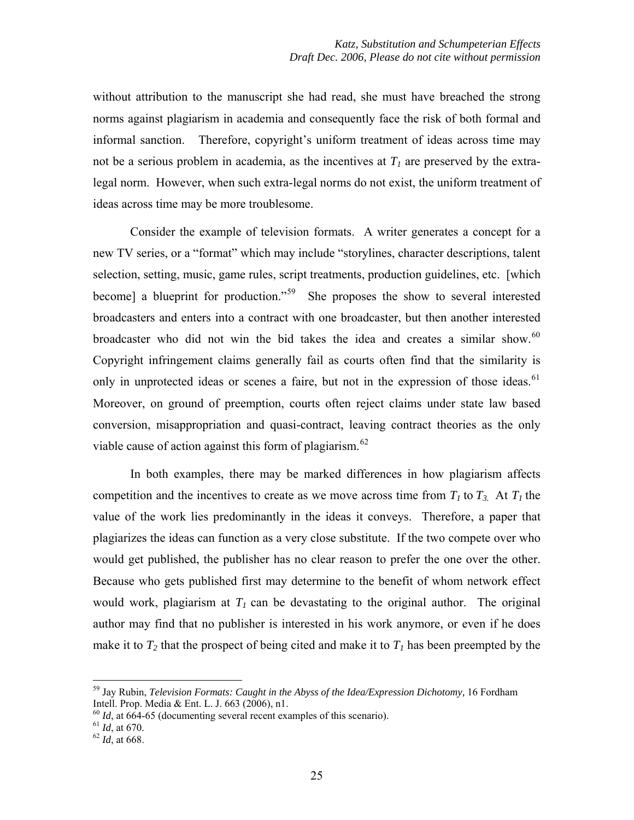without attribution to the manuscript she had read, she must have breached the strong norms against plagiarism in academia and consequently face the risk of both formal and informal sanction. Therefore, copyright's uniform treatment of ideas across time may not be a serious problem in academia, as the incentives at  $T_l$  are preserved by the extralegal norm. However, when such extra-legal norms do not exist, the uniform treatment of ideas across time may be more troublesome.

Consider the example of television formats. A writer generates a concept for a new TV series, or a "format" which may include "storylines, character descriptions, talent selection, setting, music, game rules, script treatments, production guidelines, etc. [which become] a blueprint for production."<sup>[59](#page-24-0)</sup> She proposes the show to several interested broadcasters and enters into a contract with one broadcaster, but then another interested broadcaster who did not win the bid takes the idea and creates a similar show.<sup>[60](#page-24-1)</sup> Copyright infringement claims generally fail as courts often find that the similarity is only in unprotected ideas or scenes a faire, but not in the expression of those ideas.<sup>[61](#page-24-2)</sup> Moreover, on ground of preemption, courts often reject claims under state law based conversion, misappropriation and quasi-contract, leaving contract theories as the only viable cause of action against this form of plagiarism.<sup>[62](#page-24-3)</sup>

In both examples, there may be marked differences in how plagiarism affects competition and the incentives to create as we move across time from  $T_1$  to  $T_3$ . At  $T_1$  the value of the work lies predominantly in the ideas it conveys. Therefore, a paper that plagiarizes the ideas can function as a very close substitute. If the two compete over who would get published, the publisher has no clear reason to prefer the one over the other. Because who gets published first may determine to the benefit of whom network effect would work, plagiarism at  $T_1$  can be devastating to the original author. The original author may find that no publisher is interested in his work anymore, or even if he does make it to  $T_2$  that the prospect of being cited and make it to  $T_1$  has been preempted by the

<span id="page-24-0"></span><sup>&</sup>lt;sup>59</sup> Jay Rubin, *Television Formats: Caught in the Abyss of the Idea/Expression Dichotomy*, 16 Fordham Intell. Prop. Media & Ent. L. J. 663 (2006), n1.

<span id="page-24-1"></span> $^{60}$  *Id*, at 664-65 (documenting several recent examples of this scenario).<br><sup>61</sup> *Id*, at 670. <sup>62</sup> *Id*, at 668.

<span id="page-24-3"></span><span id="page-24-2"></span>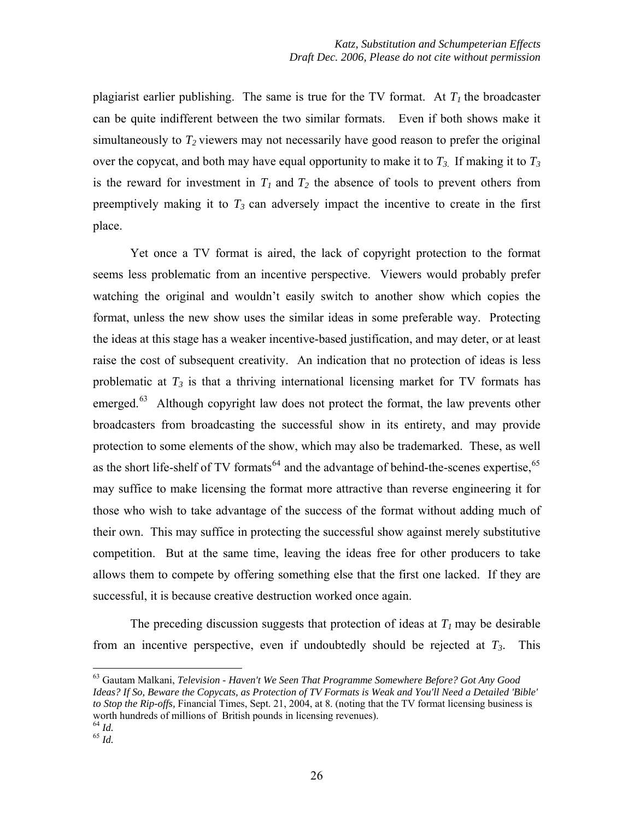plagiarist earlier publishing. The same is true for the TV format. At  $T_1$  the broadcaster can be quite indifferent between the two similar formats. Even if both shows make it simultaneously to  $T_2$  viewers may not necessarily have good reason to prefer the original over the copycat, and both may have equal opportunity to make it to  $T_3$ . If making it to  $T_3$ is the reward for investment in  $T_1$  and  $T_2$  the absence of tools to prevent others from preemptively making it to  $T_3$  can adversely impact the incentive to create in the first place.

Yet once a TV format is aired, the lack of copyright protection to the format seems less problematic from an incentive perspective. Viewers would probably prefer watching the original and wouldn't easily switch to another show which copies the format, unless the new show uses the similar ideas in some preferable way. Protecting the ideas at this stage has a weaker incentive-based justification, and may deter, or at least raise the cost of subsequent creativity. An indication that no protection of ideas is less problematic at  $T_3$  is that a thriving international licensing market for TV formats has emerged.<sup>[63](#page-25-0)</sup> Although copyright law does not protect the format, the law prevents other broadcasters from broadcasting the successful show in its entirety, and may provide protection to some elements of the show, which may also be trademarked. These, as well as the short life-shelf of TV formats<sup> $64$ </sup> and the advantage of behind-the-scenes expertise,  $65$ may suffice to make licensing the format more attractive than reverse engineering it for those who wish to take advantage of the success of the format without adding much of their own. This may suffice in protecting the successful show against merely substitutive competition. But at the same time, leaving the ideas free for other producers to take allows them to compete by offering something else that the first one lacked. If they are successful, it is because creative destruction worked once again.

The preceding discussion suggests that protection of ideas at  $T_1$  may be desirable from an incentive perspective, even if undoubtedly should be rejected at  $T_3$ . This

<span id="page-25-0"></span><sup>63</sup> Gautam Malkani, *Television - Haven't We Seen That Programme Somewhere Before? Got Any Good Ideas? If So, Beware the Copycats, as Protection of TV Formats is Weak and You'll Need a Detailed 'Bible' to Stop the Rip-offs,* Financial Times, Sept. 21, 2004, at 8. (noting that the TV format licensing business is worth hundreds of millions of British pounds in licensing revenues).

<span id="page-25-2"></span><span id="page-25-1"></span> $\frac{64}{64}$  *Id.*  $\frac{65}{65}$  *Id.*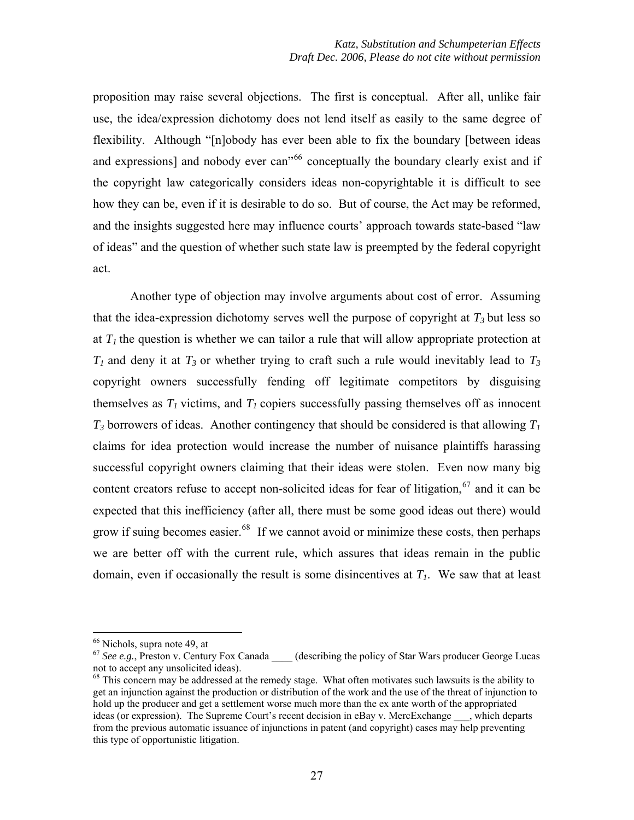proposition may raise several objections. The first is conceptual. After all, unlike fair use, the idea/expression dichotomy does not lend itself as easily to the same degree of flexibility. Although "[n]obody has ever been able to fix the boundary [between ideas and expressions] and nobody ever can<sup>3[66](#page-26-0)</sup> conceptually the boundary clearly exist and if the copyright law categorically considers ideas non-copyrightable it is difficult to see how they can be, even if it is desirable to do so. But of course, the Act may be reformed, and the insights suggested here may influence courts' approach towards state-based "law of ideas" and the question of whether such state law is preempted by the federal copyright act.

Another type of objection may involve arguments about cost of error. Assuming that the idea-expression dichotomy serves well the purpose of copyright at  $T_3$  but less so at  $T_1$  the question is whether we can tailor a rule that will allow appropriate protection at  $T_1$  and deny it at  $T_3$  or whether trying to craft such a rule would inevitably lead to  $T_3$ copyright owners successfully fending off legitimate competitors by disguising themselves as  $T_1$  victims, and  $T_1$  copiers successfully passing themselves off as innocent  $T_3$  borrowers of ideas. Another contingency that should be considered is that allowing  $T_1$ claims for idea protection would increase the number of nuisance plaintiffs harassing successful copyright owners claiming that their ideas were stolen. Even now many big content creators refuse to accept non-solicited ideas for fear of litigation,  $67$  and it can be expected that this inefficiency (after all, there must be some good ideas out there) would grow if suing becomes easier.<sup>[68](#page-26-2)</sup> If we cannot avoid or minimize these costs, then perhaps we are better off with the current rule, which assures that ideas remain in the public domain, even if occasionally the result is some disincentives at  $T<sub>1</sub>$ . We saw that at least

<sup>66</sup> Nichols, supra note 49, at

<span id="page-26-1"></span><span id="page-26-0"></span><sup>&</sup>lt;sup>67</sup> See e.g., Preston v. Century Fox Canada \_\_\_\_\_ (describing the policy of Star Wars producer George Lucas not to accept any unsolicited ideas).

<span id="page-26-2"></span> $68$  This concern may be addressed at the remedy stage. What often motivates such lawsuits is the ability to get an injunction against the production or distribution of the work and the use of the threat of injunction to hold up the producer and get a settlement worse much more than the ex ante worth of the appropriated ideas (or expression). The Supreme Court's recent decision in eBay v. MercExchange \_\_\_, which departs from the previous automatic issuance of injunctions in patent (and copyright) cases may help preventing this type of opportunistic litigation.